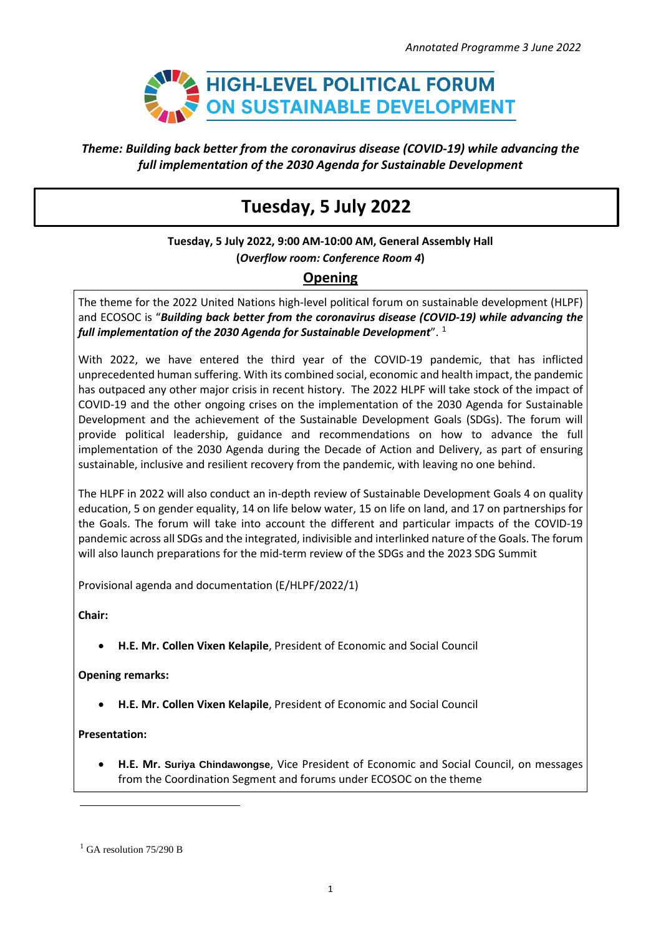

### *Theme: Building back better from the coronavirus disease (COVID-19) while advancing the full implementation of the 2030 Agenda for Sustainable Development*

# **Tuesday, 5 July 2022**

**Tuesday, 5 July 2022, 9:00 AM-10:00 AM, General Assembly Hall (***Overflow room: Conference Room 4***)**

## **Opening**

The theme for the 2022 United Nations high-level political forum on sustainable development (HLPF) and ECOSOC is "*Building back better from the coronavirus disease (COVID-19) while advancing the full implementation of the 2030 Agenda for Sustainable Development*". 1

With 2022, we have entered the third year of the COVID-19 pandemic, that has inflicted unprecedented human suffering. With its combined social, economic and health impact, the pandemic has outpaced any other major crisis in recent history. The 2022 HLPF will take stock of the impact of COVID-19 and the other ongoing crises on the implementation of the 2030 Agenda for Sustainable Development and the achievement of the Sustainable Development Goals (SDGs). The forum will provide political leadership, guidance and recommendations on how to advance the full implementation of the 2030 Agenda during the Decade of Action and Delivery, as part of ensuring sustainable, inclusive and resilient recovery from the pandemic, with leaving no one behind.

The HLPF in 2022 will also conduct an in-depth review of Sustainable Development Goals 4 on quality education, 5 on gender equality, 14 on life below water, 15 on life on land, and 17 on partnerships for the Goals. The forum will take into account the different and particular impacts of the COVID-19 pandemic across all SDGs and the integrated, indivisible and interlinked nature of the Goals. The forum will also launch preparations for the mid-term review of the SDGs and the 2023 SDG Summit

Provisional agenda and documentation (E/HLPF/2022/1)

**Chair:**

• **H.E. Mr. Collen Vixen Kelapile**, President of Economic and Social Council

**Opening remarks:**

• **H.E. Mr. Collen Vixen Kelapile**, President of Economic and Social Council

**Presentation:**

• **H.E. Mr. Suriya Chindawongse**, Vice President of Economic and Social Council, on messages from the Coordination Segment and forums under ECOSOC on the theme

 $<sup>1</sup>$  GA resolution 75/290 B</sup>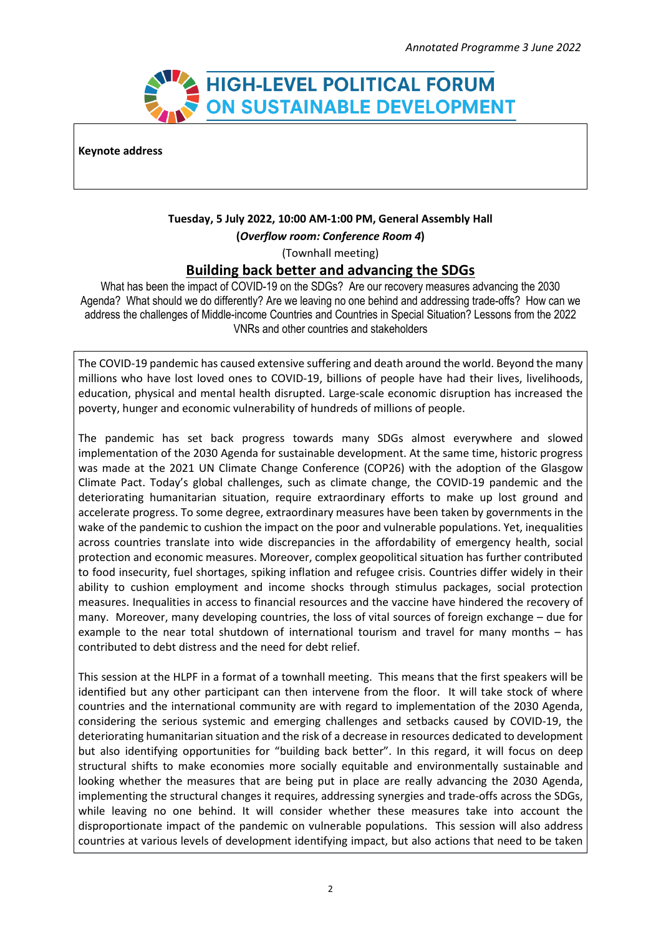

**Keynote address**

### **Tuesday, 5 July 2022, 10:00 AM-1:00 PM, General Assembly Hall (***Overflow room: Conference Room 4***)**

(Townhall meeting)

## **Building back better and advancing the SDGs**

What has been the impact of COVID-19 on the SDGs? Are our recovery measures advancing the 2030 Agenda? What should we do differently? Are we leaving no one behind and addressing trade-offs? How can we address the challenges of Middle-income Countries and Countries in Special Situation? Lessons from the 2022 VNRs and other countries and stakeholders

The COVID-19 pandemic has caused extensive suffering and death around the world. Beyond the many millions who have lost loved ones to COVID-19, billions of people have had their lives, livelihoods, education, physical and mental health disrupted. Large-scale economic disruption has increased the poverty, hunger and economic vulnerability of hundreds of millions of people.

The pandemic has set back progress towards many SDGs almost everywhere and slowed implementation of the 2030 Agenda for sustainable development. At the same time, historic progress was made at the 2021 UN Climate Change Conference (COP26) with the adoption of the Glasgow Climate Pact. Today's global challenges, such as climate change, the COVID-19 pandemic and the deteriorating humanitarian situation, require extraordinary efforts to make up lost ground and accelerate progress. To some degree, extraordinary measures have been taken by governments in the wake of the pandemic to cushion the impact on the poor and vulnerable populations. Yet, inequalities across countries translate into wide discrepancies in the affordability of emergency health, social protection and economic measures. Moreover, complex geopolitical situation has further contributed to food insecurity, fuel shortages, spiking inflation and refugee crisis. Countries differ widely in their ability to cushion employment and income shocks through stimulus packages, social protection measures. Inequalities in access to financial resources and the vaccine have hindered the recovery of many. Moreover, many developing countries, the loss of vital sources of foreign exchange – due for example to the near total shutdown of international tourism and travel for many months – has contributed to debt distress and the need for debt relief.

This session at the HLPF in a format of a townhall meeting. This means that the first speakers will be identified but any other participant can then intervene from the floor. It will take stock of where countries and the international community are with regard to implementation of the 2030 Agenda, considering the serious systemic and emerging challenges and setbacks caused by COVID-19, the deteriorating humanitarian situation and the risk of a decrease in resources dedicated to development but also identifying opportunities for "building back better". In this regard, it will focus on deep structural shifts to make economies more socially equitable and environmentally sustainable and looking whether the measures that are being put in place are really advancing the 2030 Agenda, implementing the structural changes it requires, addressing synergies and trade-offs across the SDGs, while leaving no one behind. It will consider whether these measures take into account the disproportionate impact of the pandemic on vulnerable populations. This session will also address countries at various levels of development identifying impact, but also actions that need to be taken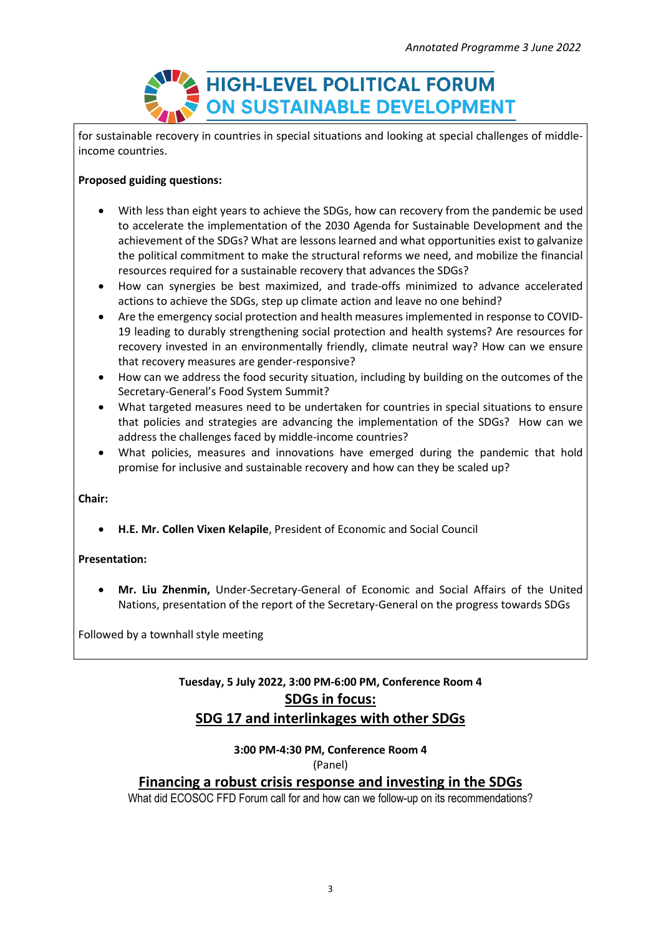

for sustainable recovery in countries in special situations and looking at special challenges of middleincome countries.

### **Proposed guiding questions:**

- With less than eight years to achieve the SDGs, how can recovery from the pandemic be used to accelerate the implementation of the 2030 Agenda for Sustainable Development and the achievement of the SDGs? What are lessons learned and what opportunities exist to galvanize the political commitment to make the structural reforms we need, and mobilize the financial resources required for a sustainable recovery that advances the SDGs?
- How can synergies be best maximized, and trade-offs minimized to advance accelerated actions to achieve the SDGs, step up climate action and leave no one behind?
- Are the emergency social protection and health measures implemented in response to COVID-19 leading to durably strengthening social protection and health systems? Are resources for recovery invested in an environmentally friendly, climate neutral way? How can we ensure that recovery measures are gender-responsive?
- How can we address the food security situation, including by building on the outcomes of the Secretary-General's Food System Summit?
- What targeted measures need to be undertaken for countries in special situations to ensure that policies and strategies are advancing the implementation of the SDGs? How can we address the challenges faced by middle-income countries?
- What policies, measures and innovations have emerged during the pandemic that hold promise for inclusive and sustainable recovery and how can they be scaled up?

### **Chair:**

• **H.E. Mr. Collen Vixen Kelapile**, President of Economic and Social Council

### **Presentation:**

• **Mr. Liu Zhenmin,** Under-Secretary-General of Economic and Social Affairs of the United Nations, presentation of the report of the Secretary-General on the progress towards SDGs

Followed by a townhall style meeting

## **Tuesday, 5 July 2022, 3:00 PM-6:00 PM, Conference Room 4 SDGs in focus: SDG 17 and interlinkages with other SDGs**

### **3:00 PM-4:30 PM, Conference Room 4** (Panel)

## **Financing a robust crisis response and investing in the SDGs**

What did ECOSOC FFD Forum call for and how can we follow-up on its recommendations?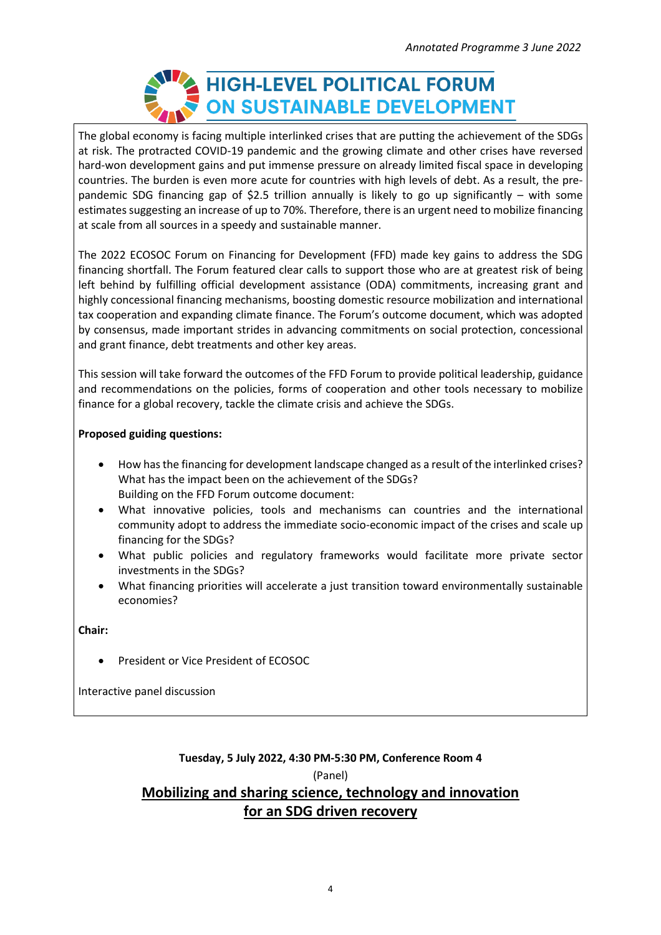

The global economy is facing multiple interlinked crises that are putting the achievement of the SDGs at risk. The protracted COVID-19 pandemic and the growing climate and other crises have reversed hard-won development gains and put immense pressure on already limited fiscal space in developing countries. The burden is even more acute for countries with high levels of debt. As a result, the prepandemic SDG financing gap of \$2.5 trillion annually is likely to go up significantly – with some estimates suggesting an increase of up to 70%. Therefore, there is an urgent need to mobilize financing at scale from all sources in a speedy and sustainable manner.

The 2022 ECOSOC Forum on Financing for Development (FFD) made key gains to address the SDG financing shortfall. The Forum featured clear calls to support those who are at greatest risk of being left behind by fulfilling official development assistance (ODA) commitments, increasing grant and highly concessional financing mechanisms, boosting domestic resource mobilization and international tax cooperation and expanding climate finance. The Forum's outcome document, which was adopted by consensus, made important strides in advancing commitments on social protection, concessional and grant finance, debt treatments and other key areas.

This session will take forward the outcomes of the FFD Forum to provide political leadership, guidance and recommendations on the policies, forms of cooperation and other tools necessary to mobilize finance for a global recovery, tackle the climate crisis and achieve the SDGs.

### **Proposed guiding questions:**

- How has the financing for development landscape changed as a result of the interlinked crises? What has the impact been on the achievement of the SDGs? Building on the FFD Forum outcome document:
- What innovative policies, tools and mechanisms can countries and the international community adopt to address the immediate socio-economic impact of the crises and scale up financing for the SDGs?
- What public policies and regulatory frameworks would facilitate more private sector investments in the SDGs?
- What financing priorities will accelerate a just transition toward environmentally sustainable economies?

**Chair:**

• President or Vice President of ECOSOC

Interactive panel discussion

## **Tuesday, 5 July 2022, 4:30 PM-5:30 PM, Conference Room 4** (Panel) **Mobilizing and sharing science, technology and innovation for an SDG driven recovery**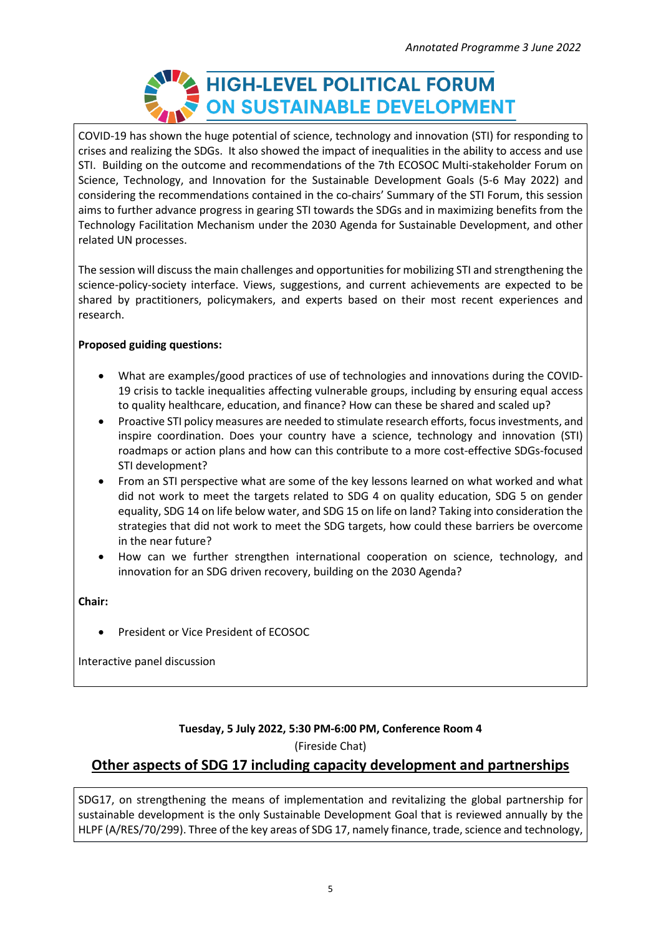

COVID-19 has shown the huge potential of science, technology and innovation (STI) for responding to crises and realizing the SDGs. It also showed the impact of inequalities in the ability to access and use STI. Building on the outcome and recommendations of the 7th ECOSOC Multi-stakeholder Forum on Science, Technology, and Innovation for the Sustainable Development Goals (5-6 May 2022) and considering the recommendations contained in the co-chairs' Summary of the STI Forum, this session aims to further advance progress in gearing STI towards the SDGs and in maximizing benefits from the Technology Facilitation Mechanism under the 2030 Agenda for Sustainable Development, and other related UN processes.

The session will discuss the main challenges and opportunities for mobilizing STI and strengthening the science-policy-society interface. Views, suggestions, and current achievements are expected to be shared by practitioners, policymakers, and experts based on their most recent experiences and research.

### **Proposed guiding questions:**

- What are examples/good practices of use of technologies and innovations during the COVID-19 crisis to tackle inequalities affecting vulnerable groups, including by ensuring equal access to quality healthcare, education, and finance? How can these be shared and scaled up?
- Proactive STI policy measures are needed to stimulate research efforts, focus investments, and inspire coordination. Does your country have a science, technology and innovation (STI) roadmaps or action plans and how can this contribute to a more cost-effective SDGs-focused STI development?
- From an STI perspective what are some of the key lessons learned on what worked and what did not work to meet the targets related to SDG 4 on quality education, SDG 5 on gender equality, SDG 14 on life below water, and SDG 15 on life on land? Taking into consideration the strategies that did not work to meet the SDG targets, how could these barriers be overcome in the near future?
- How can we further strengthen international cooperation on science, technology, and innovation for an SDG driven recovery, building on the 2030 Agenda?

**Chair:**

• President or Vice President of ECOSOC

Interactive panel discussion

## **Tuesday, 5 July 2022, 5:30 PM-6:00 PM, Conference Room 4**

(Fireside Chat)

## **Other aspects of SDG 17 including capacity development and partnerships**

SDG17, on strengthening the means of implementation and revitalizing the global partnership for sustainable development is the only Sustainable Development Goal that is reviewed annually by the HLPF (A/RES/70/299). Three of the key areas of SDG 17, namely finance, trade, science and technology,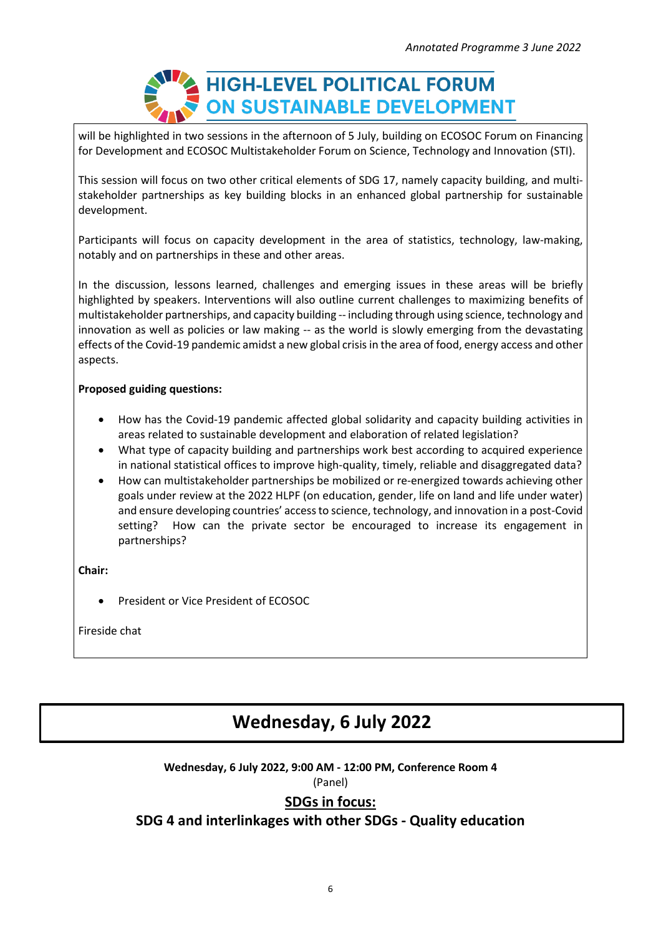

will be highlighted in two sessions in the afternoon of 5 July, building on ECOSOC Forum on Financing for Development and ECOSOC Multistakeholder Forum on Science, Technology and Innovation (STI).

This session will focus on two other critical elements of SDG 17, namely capacity building, and multistakeholder partnerships as key building blocks in an enhanced global partnership for sustainable development.

Participants will focus on capacity development in the area of statistics, technology, law-making, notably and on partnerships in these and other areas.

In the discussion, lessons learned, challenges and emerging issues in these areas will be briefly highlighted by speakers. Interventions will also outline current challenges to maximizing benefits of multistakeholder partnerships, and capacity building -- including through using science, technology and innovation as well as policies or law making -- as the world is slowly emerging from the devastating effects of the Covid-19 pandemic amidst a new global crisisin the area of food, energy access and other aspects.

### **Proposed guiding questions:**

- How has the Covid-19 pandemic affected global solidarity and capacity building activities in areas related to sustainable development and elaboration of related legislation?
- What type of capacity building and partnerships work best according to acquired experience in national statistical offices to improve high-quality, timely, reliable and disaggregated data?
- How can multistakeholder partnerships be mobilized or re-energized towards achieving other goals under review at the 2022 HLPF (on education, gender, life on land and life under water) and ensure developing countries' accessto science, technology, and innovation in a post-Covid setting? How can the private sector be encouraged to increase its engagement in partnerships?

**Chair:**

• President or Vice President of ECOSOC

Fireside chat

# **ITCES SUSPENDER <b>RESPONDER <b>RESPONDER 1999**

**Wednesday, 6 July 2022, 9:00 AM - 12:00 PM, Conference Room 4**

(Panel)

## **SDGs in focus:**

## **SDG 4 and interlinkages with other SDGs - Quality education**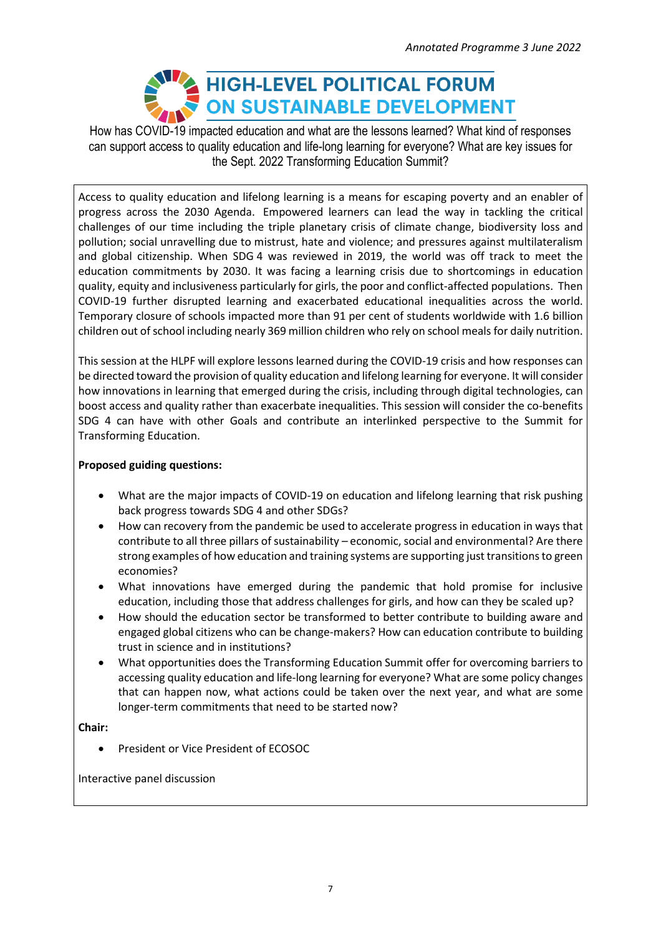# HIGH-LEVEL POLITICAL FORUM ON SUSTAINABLE DEVELOPMENT

How has COVID-19 impacted education and what are the lessons learned? What kind of responses can support access to quality education and life-long learning for everyone? What are key issues for the Sept. 2022 Transforming Education Summit?

Access to quality education and lifelong learning is a means for escaping poverty and an enabler of progress across the 2030 Agenda. Empowered learners can lead the way in tackling the critical challenges of our time including the triple planetary crisis of climate change, biodiversity loss and pollution; social unravelling due to mistrust, hate and violence; and pressures against multilateralism and global citizenship. When SDG 4 was reviewed in 2019, the world was off track to meet the education commitments by 2030. It was facing a learning crisis due to shortcomings in education quality, equity and inclusiveness particularly for girls, the poor and conflict-affected populations. Then COVID-19 further disrupted learning and exacerbated educational inequalities across the world. Temporary closure of schools impacted more than 91 per cent of students worldwide with 1.6 billion children out ofschool including nearly 369 million children who rely on school meals for daily nutrition.

This session at the HLPF will explore lessons learned during the COVID-19 crisis and how responses can be directed toward the provision of quality education and lifelong learning for everyone. It will consider how innovations in learning that emerged during the crisis, including through digital technologies, can boost access and quality rather than exacerbate inequalities. This session will consider the co-benefits SDG 4 can have with other Goals and contribute an interlinked perspective to the Summit for Transforming Education.

### **Proposed guiding questions:**

- What are the major impacts of COVID-19 on education and lifelong learning that risk pushing back progress towards SDG 4 and other SDGs?
- How can recovery from the pandemic be used to accelerate progress in education in ways that contribute to all three pillars of sustainability – economic, social and environmental? Are there strong examples of how education and training systems are supporting just transitionsto green economies?
- What innovations have emerged during the pandemic that hold promise for inclusive education, including those that address challenges for girls, and how can they be scaled up?
- How should the education sector be transformed to better contribute to building aware and engaged global citizens who can be change-makers? How can education contribute to building trust in science and in institutions?
- What opportunities does the Transforming Education Summit offer for overcoming barriers to accessing quality education and life-long learning for everyone? What are some policy changes that can happen now, what actions could be taken over the next year, and what are some longer-term commitments that need to be started now?

**Chair:**

• President or Vice President of ECOSOC

Interactive panel discussion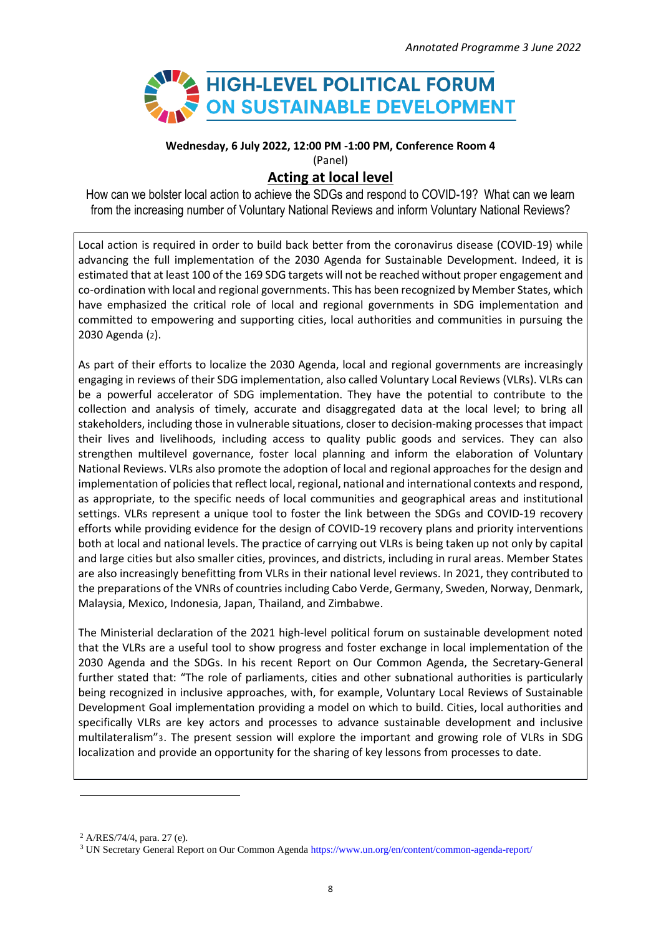

**Wednesday, 6 July 2022, 12:00 PM -1:00 PM, Conference Room 4**

(Panel)

## **Acting at local level**

How can we bolster local action to achieve the SDGs and respond to COVID-19? What can we learn from the increasing number of Voluntary National Reviews and inform Voluntary National Reviews?

Local action is required in order to build back better from the coronavirus disease (COVID-19) while advancing the full implementation of the 2030 Agenda for Sustainable Development. Indeed, it is estimated that at least 100 of the 169 SDG targets will not be reached without proper engagement and co-ordination with local and regional governments. This has been recognized by Member States, which have emphasized the critical role of local and regional governments in SDG implementation and committed to empowering and supporting cities, local authorities and communities in pursuing the 2030 Agenda (2).

As part of their efforts to localize the 2030 Agenda, local and regional governments are increasingly engaging in reviews of their SDG implementation, also called Voluntary Local Reviews (VLRs). VLRs can be a powerful accelerator of SDG implementation. They have the potential to contribute to the collection and analysis of timely, accurate and disaggregated data at the local level; to bring all stakeholders, including those in vulnerable situations, closer to decision-making processes that impact their lives and livelihoods, including access to quality public goods and services. They can also strengthen multilevel governance, foster local planning and inform the elaboration of Voluntary National Reviews. VLRs also promote the adoption of local and regional approaches for the design and implementation of policies that reflect local, regional, national and international contexts and respond, as appropriate, to the specific needs of local communities and geographical areas and institutional settings. VLRs represent a unique tool to foster the link between the SDGs and COVID-19 recovery efforts while providing evidence for the design of COVID-19 recovery plans and priority interventions both at local and national levels. The practice of carrying out VLRs is being taken up not only by capital and large cities but also smaller cities, provinces, and districts, including in rural areas. Member States are also increasingly benefitting from VLRs in their national level reviews. In 2021, they contributed to the preparations of the VNRs of countries including Cabo Verde, Germany, Sweden, Norway, Denmark, Malaysia, Mexico, Indonesia, Japan, Thailand, and Zimbabwe.

The Ministerial declaration of the 2021 high-level political forum on sustainable development noted that the VLRs are a useful tool to show progress and foster exchange in local implementation of the 2030 Agenda and the SDGs. In his recent Report on Our Common Agenda, the Secretary-General further stated that: "The role of parliaments, cities and other subnational authorities is particularly being recognized in inclusive approaches, with, for example, Voluntary Local Reviews of Sustainable Development Goal implementation providing a model on which to build. Cities, local authorities and specifically VLRs are key actors and processes to advance sustainable development and inclusive multilateralism"3. The present session will explore the important and growing role of VLRs in SDG localization and provide an opportunity for the sharing of key lessons from processes to date.

<sup>2</sup> A/RES/74/4, para. 27 (e).

<sup>3</sup> UN Secretary General Report on Our Common Agend[a https://www.un.org/en/content/common-agenda-report/](https://www.un.org/en/content/common-agenda-report/)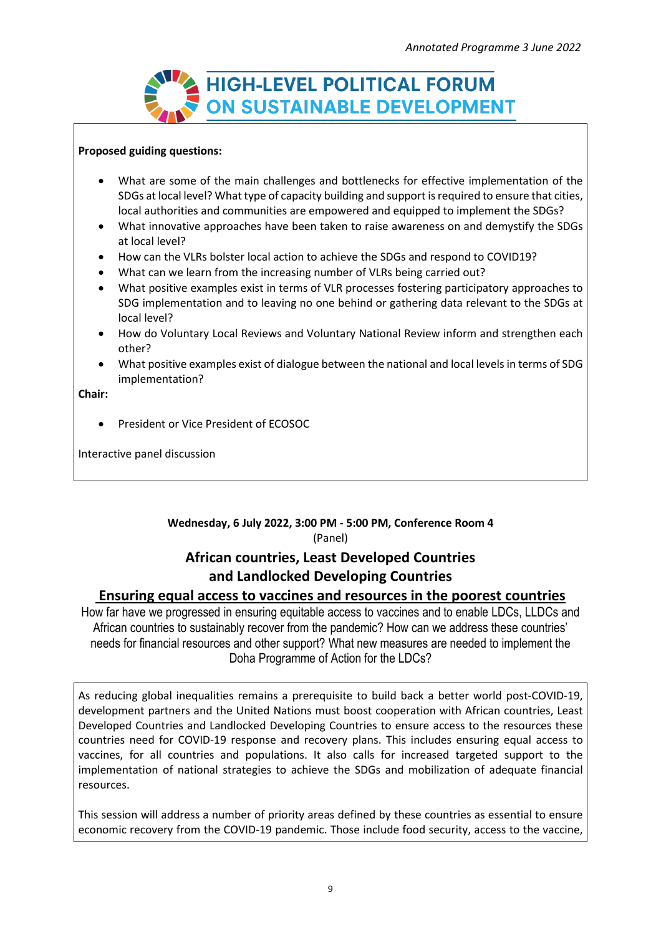

#### **Proposed guiding questions:**

- What are some of the main challenges and bottlenecks for effective implementation of the SDGs at local level? What type of capacity building and support is required to ensure that cities, local authorities and communities are empowered and equipped to implement the SDGs?
- What innovative approaches have been taken to raise awareness on and demystify the SDGs at local level?
- How can the VLRs bolster local action to achieve the SDGs and respond to COVID19?
- What can we learn from the increasing number of VLRs being carried out?
- What positive examples exist in terms of VLR processes fostering participatory approaches to SDG implementation and to leaving no one behind or gathering data relevant to the SDGs at local level?
- How do Voluntary Local Reviews and Voluntary National Review inform and strengthen each other?
- What positive examples exist of dialogue between the national and local levels in terms of SDG implementation?

**Chair:**

• President or Vice President of ECOSOC

Interactive panel discussion

### **Wednesday, 6 July 2022, 3:00 PM - 5:00 PM, Conference Room 4** (Panel)

## **African countries, Least Developed Countries and Landlocked Developing Countries**

### **Ensuring equal access to vaccines and resources in the poorest countries**

How far have we progressed in ensuring equitable access to vaccines and to enable LDCs, LLDCs and African countries to sustainably recover from the pandemic? How can we address these countries' needs for financial resources and other support? What new measures are needed to implement the Doha Programme of Action for the LDCs?

As reducing global inequalities remains a prerequisite to build back a better world post-COVID-19, development partners and the United Nations must boost cooperation with African countries, Least Developed Countries and Landlocked Developing Countries to ensure access to the resources these countries need for COVID-19 response and recovery plans. This includes ensuring equal access to vaccines, for all countries and populations. It also calls for increased targeted support to the implementation of national strategies to achieve the SDGs and mobilization of adequate financial resources.

This session will address a number of priority areas defined by these countries as essential to ensure economic recovery from the COVID-19 pandemic. Those include food security, access to the vaccine,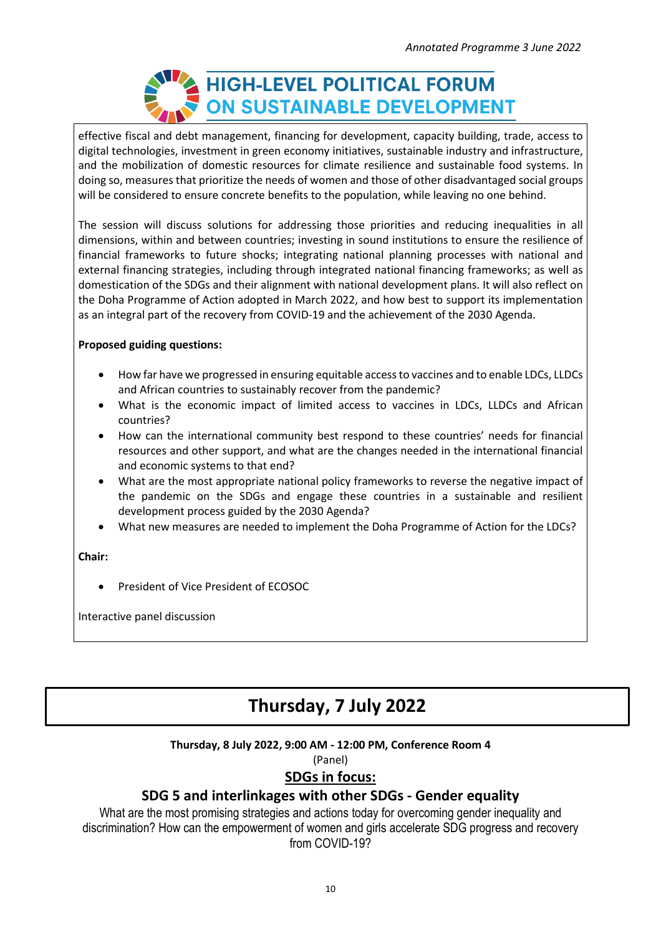

effective fiscal and debt management, financing for development, capacity building, trade, access to digital technologies, investment in green economy initiatives, sustainable industry and infrastructure, and the mobilization of domestic resources for climate resilience and sustainable food systems. In doing so, measures that prioritize the needs of women and those of other disadvantaged social groups will be considered to ensure concrete benefits to the population, while leaving no one behind.

The session will discuss solutions for addressing those priorities and reducing inequalities in all dimensions, within and between countries; investing in sound institutions to ensure the resilience of financial frameworks to future shocks; integrating national planning processes with national and external financing strategies, including through integrated national financing frameworks; as well as domestication of the SDGs and their alignment with national development plans. It will also reflect on the Doha Programme of Action adopted in March 2022, and how best to support its implementation as an integral part of the recovery from COVID-19 and the achievement of the 2030 Agenda.

### **Proposed guiding questions:**

- How far have we progressed in ensuring equitable accessto vaccines and to enable LDCs, LLDCs and African countries to sustainably recover from the pandemic?
- What is the economic impact of limited access to vaccines in LDCs, LLDCs and African countries?
- How can the international community best respond to these countries' needs for financial resources and other support, and what are the changes needed in the international financial and economic systems to that end?
- What are the most appropriate national policy frameworks to reverse the negative impact of the pandemic on the SDGs and engage these countries in a sustainable and resilient development process guided by the 2030 Agenda?
- What new measures are needed to implement the Doha Programme of Action for the LDCs?

**Chair:**

• President of Vice President of ECOSOC

Interactive panel discussion

## **Thursday, 7 July 2022**

### **Thursday, 8 July 2022, 9:00 AM - 12:00 PM, Conference Room 4**

(Panel)

## **SDGs in focus:**

## **SDG 5 and interlinkages with other SDGs - Gender equality**

What are the most promising strategies and actions today for overcoming gender inequality and discrimination? How can the empowerment of women and girls accelerate SDG progress and recovery from COVID-19?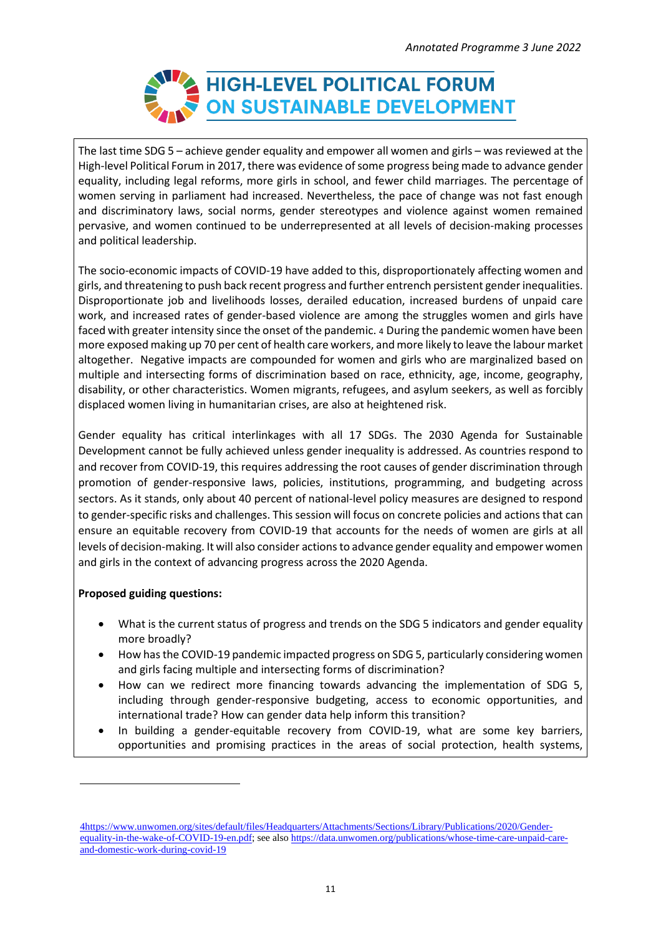

The last time SDG 5 – achieve gender equality and empower all women and girls – was reviewed at the High-level Political Forum in 2017, there was evidence of some progress being made to advance gender equality, including legal reforms, more girls in school, and fewer child marriages. The percentage of women serving in parliament had increased. Nevertheless, the pace of change was not fast enough and discriminatory laws, social norms, gender stereotypes and violence against women remained pervasive, and women continued to be underrepresented at all levels of decision-making processes and political leadership.

The socio-economic impacts of COVID-19 have added to this, disproportionately affecting women and girls, and threatening to push back recent progress and further entrench persistent gender inequalities. Disproportionate job and livelihoods losses, derailed education, increased burdens of unpaid care work, and increased rates of gender-based violence are among the struggles women and girls have faced with greater intensity since the onset of the pandemic. 4 During the pandemic women have been more exposed making up 70 per cent of health care workers, andmore likely to leave the labour market altogether. Negative impacts are compounded for women and girls who are marginalized based on multiple and intersecting forms of discrimination based on race, ethnicity, age, income, geography, disability, or other characteristics. Women migrants, refugees, and asylum seekers, as well as forcibly displaced women living in humanitarian crises, are also at heightened risk.

Gender equality has critical interlinkages with all 17 SDGs. The 2030 Agenda for Sustainable Development cannot be fully achieved unless gender inequality is addressed. As countries respond to and recover from COVID-19, this requires addressing the root causes of gender discrimination through promotion of gender-responsive laws, policies, institutions, programming, and budgeting across sectors. As it stands, only about 40 percent of national-level policy measures are designed to respond to gender-specific risks and challenges. This session will focus on concrete policies and actions that can ensure an equitable recovery from COVID-19 that accounts for the needs of women are girls at all levels of decision-making. It will also consider actions to advance gender equality and empower women and girls in the context of advancing progress across the 2020 Agenda.

### **Proposed guiding questions:**

- What is the current status of progress and trends on the SDG 5 indicators and gender equality more broadly?
- How has the COVID-19 pandemic impacted progress on SDG 5, particularly considering women and girls facing multiple and intersecting forms of discrimination?
- How can we redirect more financing towards advancing the implementation of SDG 5, including through gender-responsive budgeting, access to economic opportunities, and international trade? How can gender data help inform this transition?
- In building a gender-equitable recovery from COVID-19, what are some key barriers, opportunities and promising practices in the areas of social protection, health systems,

[<sup>4</sup>https://www.unwomen.org/sites/default/files/Headquarters/Attachments/Sections/Library/Publications/2020/Gender](https://www.unwomen.org/sites/default/files/Headquarters/Attachments/Sections/Library/Publications/2020/Gender-equality-in-the-wake-of-COVID-19-en.pdf)[equality-in-the-wake-of-COVID-19-en.pdf;](https://www.unwomen.org/sites/default/files/Headquarters/Attachments/Sections/Library/Publications/2020/Gender-equality-in-the-wake-of-COVID-19-en.pdf) see also [https://data.unwomen.org/publications/whose-time-care-unpaid-care](https://data.unwomen.org/publications/whose-time-care-unpaid-care-and-domestic-work-during-covid-19)[and-domestic-work-during-covid-19](https://data.unwomen.org/publications/whose-time-care-unpaid-care-and-domestic-work-during-covid-19)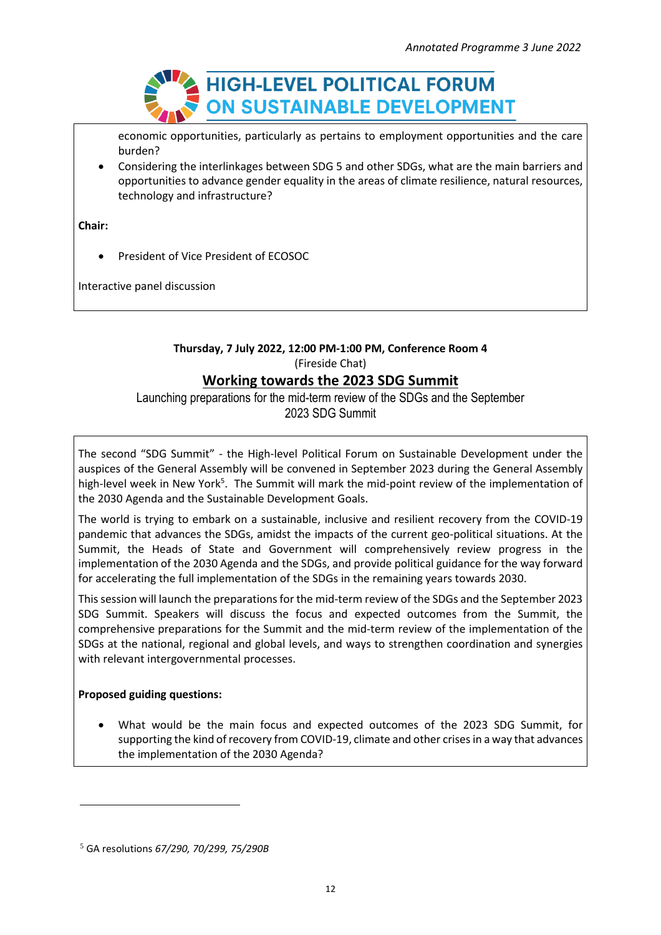

economic opportunities, particularly as pertains to employment opportunities and the care burden?

• Considering the interlinkages between SDG 5 and other SDGs, what are the main barriers and opportunities to advance gender equality in the areas of climate resilience, natural resources, technology and infrastructure?

**Chair:**

• President of Vice President of ECOSOC

Interactive panel discussion

### **Thursday, 7 July 2022, 12:00 PM-1:00 PM, Conference Room 4** (Fireside Chat)

### **Working towards the 2023 SDG Summit**

Launching preparations for the mid-term review of the SDGs and the September 2023 SDG Summit

The second "SDG Summit" - the High-level Political Forum on Sustainable Development under the auspices of the General Assembly will be convened in September 2023 during the General Assembly high-level week in New York<sup>5</sup>. The Summit will mark the mid-point review of the implementation of the 2030 Agenda and the Sustainable Development Goals.

The world is trying to embark on a sustainable, inclusive and resilient recovery from the COVID-19 pandemic that advances the SDGs, amidst the impacts of the current geo-political situations. At the Summit, the Heads of State and Government will comprehensively review progress in the implementation of the 2030 Agenda and the SDGs, and provide political guidance for the way forward for accelerating the full implementation of the SDGs in the remaining years towards 2030.

This session will launch the preparations for the mid-term review of the SDGs and the September 2023 SDG Summit. Speakers will discuss the focus and expected outcomes from the Summit, the comprehensive preparations for the Summit and the mid-term review of the implementation of the SDGs at the national, regional and global levels, and ways to strengthen coordination and synergies with relevant intergovernmental processes.

### **Proposed guiding questions:**

• What would be the main focus and expected outcomes of the 2023 SDG Summit, for supporting the kind of recovery from COVID-19, climate and other crises in a way that advances the implementation of the 2030 Agenda?

<sup>5</sup> GA resolutions *67/290, 70/299, 75/290B*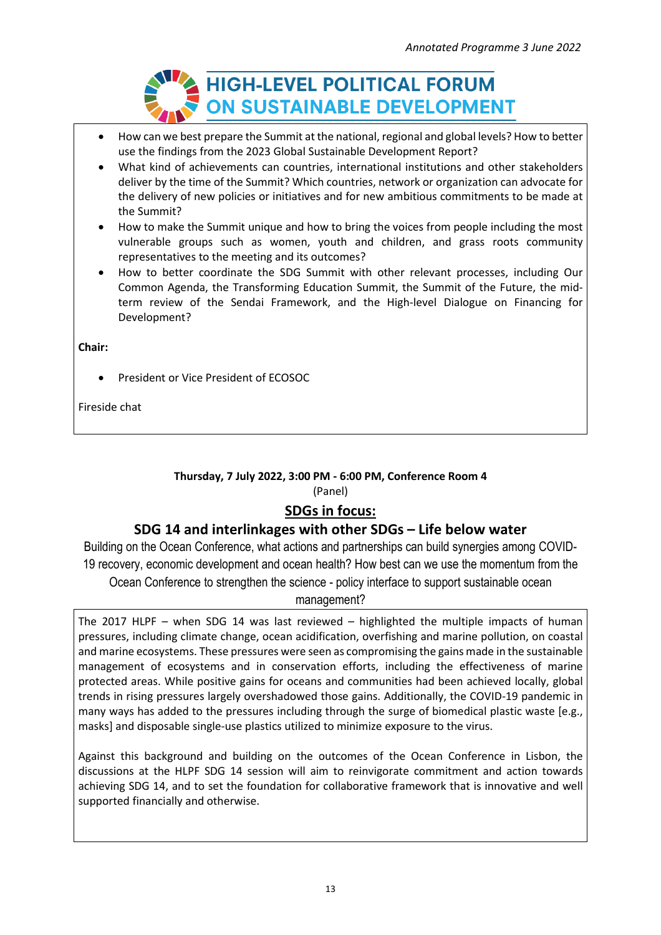

- How can we best prepare the Summit at the national, regional and global levels? How to better use the findings from the 2023 Global Sustainable Development Report?
- What kind of achievements can countries, international institutions and other stakeholders deliver by the time of the Summit? Which countries, network or organization can advocate for the delivery of new policies or initiatives and for new ambitious commitments to be made at the Summit?
- How to make the Summit unique and how to bring the voices from people including the most vulnerable groups such as women, youth and children, and grass roots community representatives to the meeting and its outcomes?
- How to better coordinate the SDG Summit with other relevant processes, including Our Common Agenda, the Transforming Education Summit, the Summit of the Future, the midterm review of the Sendai Framework, and the High-level Dialogue on Financing for Development?

**Chair:**

• President or Vice President of ECOSOC

Fireside chat

### **Thursday, 7 July 2022, 3:00 PM - 6:00 PM, Conference Room 4** (Panel)

## **SDGs in focus:**

### **SDG 14 and interlinkages with other SDGs – Life below water**

Building on the Ocean Conference, what actions and partnerships can build synergies among COVID-19 recovery, economic development and ocean health? How best can we use the momentum from the Ocean Conference to strengthen the science - policy interface to support sustainable ocean management?

The 2017 HLPF – when SDG 14 was last reviewed – highlighted the multiple impacts of human pressures, including climate change, ocean acidification, overfishing and marine pollution, on coastal and marine ecosystems. These pressures were seen as compromising the gains made in the sustainable management of ecosystems and in conservation efforts, including the effectiveness of marine protected areas. While positive gains for oceans and communities had been achieved locally, global trends in rising pressures largely overshadowed those gains. Additionally, the COVID-19 pandemic in many ways has added to the pressures including through the surge of biomedical plastic waste [e.g., masks] and disposable single-use plastics utilized to minimize exposure to the virus.

Against this background and building on the outcomes of the Ocean Conference in Lisbon, the discussions at the HLPF SDG 14 session will aim to reinvigorate commitment and action towards achieving SDG 14, and to set the foundation for collaborative framework that is innovative and well supported financially and otherwise.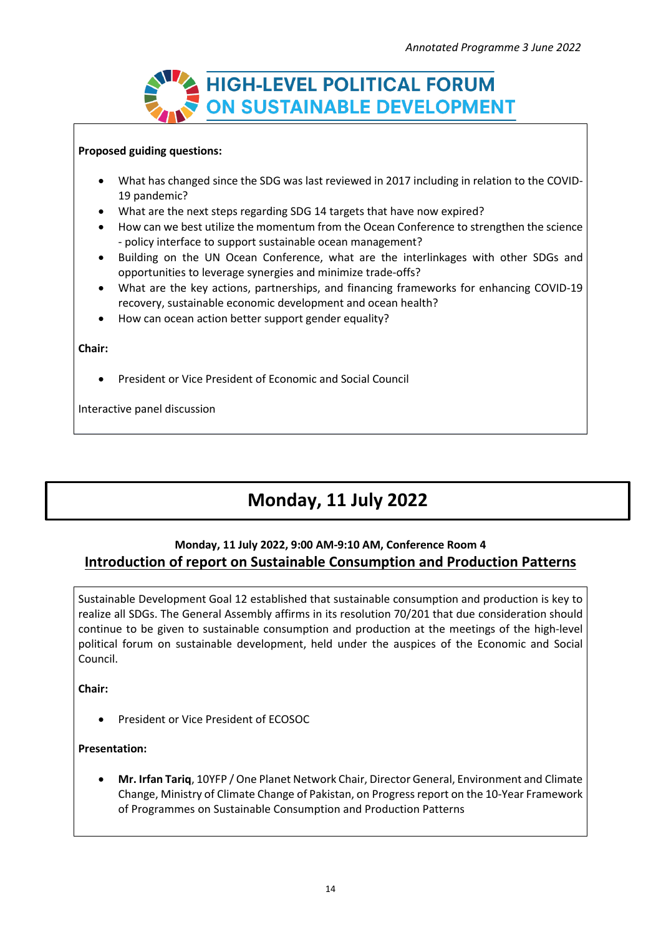

### **Proposed guiding questions:**

- What has changed since the SDG was last reviewed in 2017 including in relation to the COVID-19 pandemic?
- What are the next steps regarding SDG 14 targets that have now expired?
- How can we best utilize the momentum from the Ocean Conference to strengthen the science - policy interface to support sustainable ocean management?
- Building on the UN Ocean Conference, what are the interlinkages with other SDGs and opportunities to leverage synergies and minimize trade-offs?
- What are the key actions, partnerships, and financing frameworks for enhancing COVID-19 recovery, sustainable economic development and ocean health?
- How can ocean action better support gender equality?

#### **Chair:**

• President or Vice President of Economic and Social Council

Interactive panel discussion

# **Monday, 11 July 2022**

### **Monday, 11 July 2022, 9:00 AM-9:10 AM, Conference Room 4 Introduction of report on Sustainable Consumption and Production Patterns**

Sustainable Development Goal 12 established that sustainable consumption and production is key to realize all SDGs. The General Assembly affirms in its resolution 70/201 that due consideration should continue to be given to sustainable consumption and production at the meetings of the high-level political forum on sustainable development, held under the auspices of the Economic and Social Council.

**Chair:**

• President or Vice President of ECOSOC

### **Presentation:**

• **Mr. Irfan Tariq**, 10YFP / One Planet Network Chair, Director General, Environment and Climate Change, Ministry of Climate Change of Pakistan, on Progressreport on the 10-Year Framework of Programmes on Sustainable Consumption and Production Patterns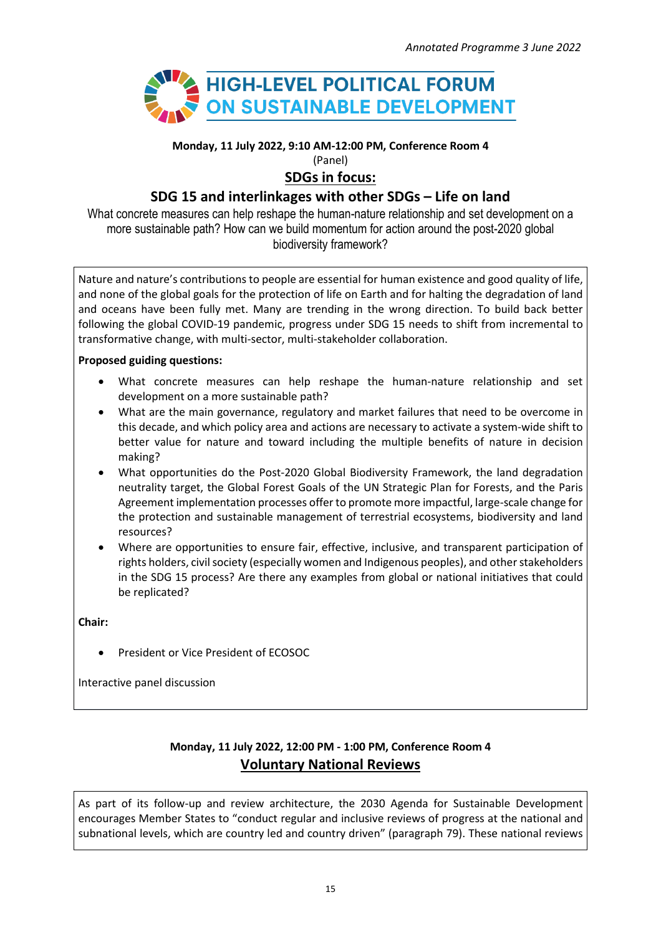

**Monday, 11 July 2022, 9:10 AM-12:00 PM, Conference Room 4**

(Panel)

### **SDGs in focus:**

## **SDG 15 and interlinkages with other SDGs – Life on land**

What concrete measures can help reshape the human-nature relationship and set development on a more sustainable path? How can we build momentum for action around the post-2020 global biodiversity framework?

Nature and nature's contributions to people are essential for human existence and good quality of life, and none of the global goals for the protection of life on Earth and for halting the degradation of land and oceans have been fully met. Many are trending in the wrong direction. To build back better following the global COVID-19 pandemic, progress under SDG 15 needs to shift from incremental to transformative change, with multi-sector, multi-stakeholder collaboration.

### **Proposed guiding questions:**

- What concrete measures can help reshape the human-nature relationship and set development on a more sustainable path?
- What are the main governance, regulatory and market failures that need to be overcome in this decade, and which policy area and actions are necessary to activate a system-wide shift to better value for nature and toward including the multiple benefits of nature in decision making?
- What opportunities do the Post-2020 Global Biodiversity Framework, the land degradation neutrality target, the Global Forest Goals of the UN Strategic Plan for Forests, and the Paris Agreement implementation processes offer to promote more impactful, large-scale change for the protection and sustainable management of terrestrial ecosystems, biodiversity and land resources?
- Where are opportunities to ensure fair, effective, inclusive, and transparent participation of rights holders, civil society (especially women and Indigenous peoples), and other stakeholders in the SDG 15 process? Are there any examples from global or national initiatives that could be replicated?

**Chair:**

• President or Vice President of ECOSOC

Interactive panel discussion

## **Monday, 11 July 2022, 12:00 PM - 1:00 PM, Conference Room 4 Voluntary National Reviews**

As part of its follow-up and review architecture, the 2030 Agenda for Sustainable Development encourages Member States to "conduct regular and inclusive reviews of progress at the national and subnational levels, which are country led and country driven" (paragraph 79). These national reviews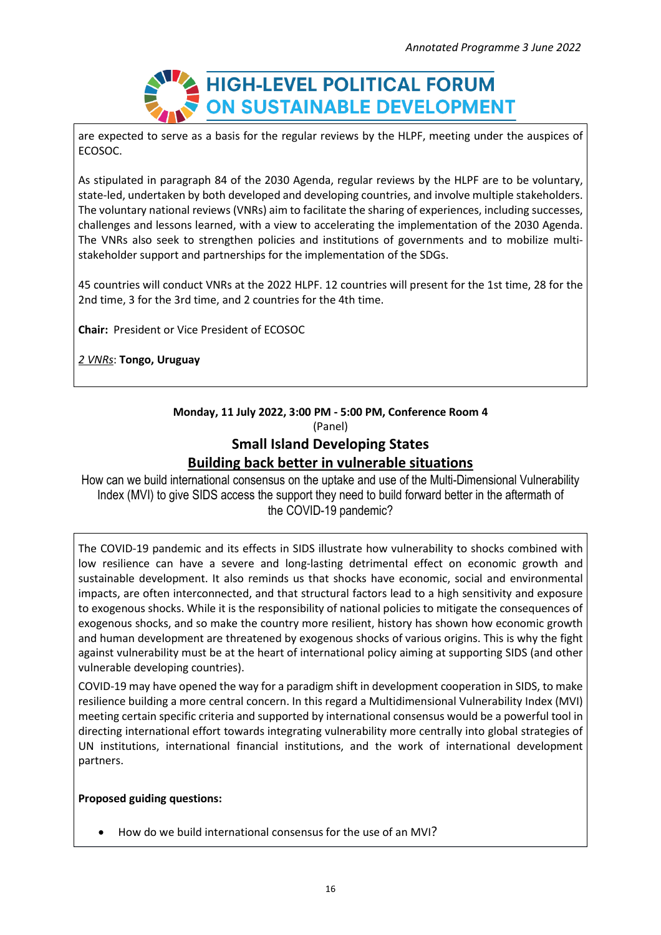

are expected to serve as a basis for the regular reviews by the HLPF, meeting under the auspices of ECOSOC.

As stipulated in paragraph 84 of the 2030 Agenda, regular reviews by the HLPF are to be voluntary, state-led, undertaken by both developed and developing countries, and involve multiple stakeholders. The voluntary national reviews (VNRs) aim to facilitate the sharing of experiences, including successes, challenges and lessons learned, with a view to accelerating the implementation of the 2030 Agenda. The VNRs also seek to strengthen policies and institutions of governments and to mobilize multistakeholder support and partnerships for the implementation of the SDGs.

45 countries will conduct VNRs at the 2022 HLPF. 12 countries will present for the 1st time, 28 for the 2nd time, 3 for the 3rd time, and 2 countries for the 4th time.

**Chair:** President or Vice President of ECOSOC

*2 VNRs*: **Tongo, Uruguay**

### **Monday, 11 July 2022, 3:00 PM - 5:00 PM, Conference Room 4** (Panel) **Small Island Developing States**

# **Building back better in vulnerable situations**

How can we build international consensus on the uptake and use of the Multi-Dimensional Vulnerability Index (MVI) to give SIDS access the support they need to build forward better in the aftermath of the COVID-19 pandemic?

The COVID-19 pandemic and its effects in SIDS illustrate how vulnerability to shocks combined with low resilience can have a severe and long-lasting detrimental effect on economic growth and sustainable development. It also reminds us that shocks have economic, social and environmental impacts, are often interconnected, and that structural factors lead to a high sensitivity and exposure to exogenous shocks. While it is the responsibility of national policies to mitigate the consequences of exogenous shocks, and so make the country more resilient, history has shown how economic growth and human development are threatened by exogenous shocks of various origins. This is why the fight against vulnerability must be at the heart of international policy aiming at supporting SIDS (and other vulnerable developing countries).

COVID-19 may have opened the way for a paradigm shift in development cooperation in SIDS, to make resilience building a more central concern. In this regard a Multidimensional Vulnerability Index (MVI) meeting certain specific criteria and supported by international consensus would be a powerful tool in directing international effort towards integrating vulnerability more centrally into global strategies of UN institutions, international financial institutions, and the work of international development partners.

### **Proposed guiding questions:**

• How do we build international consensus for the use of an MVI?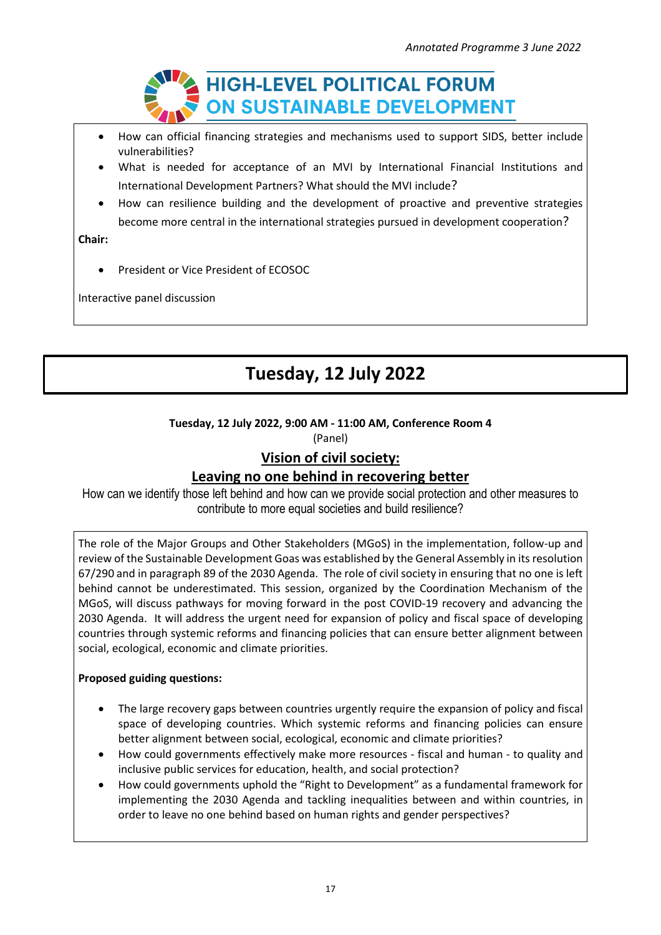

- How can official financing strategies and mechanisms used to support SIDS, better include vulnerabilities?
- What is needed for acceptance of an MVI by International Financial Institutions and International Development Partners? What should the MVI include?
- How can resilience building and the development of proactive and preventive strategies become more central in the international strategies pursued in development cooperation?

**Chair:**

• President or Vice President of ECOSOC

Interactive panel discussion

# **Tuesday, 12 July 2022**

### **Tuesday, 12 July 2022, 9:00 AM - 11:00 AM, Conference Room 4**

(Panel)

## **Vision of civil society:**

## **Leaving no one behind in recovering better**

How can we identify those left behind and how can we provide social protection and other measures to contribute to more equal societies and build resilience?

The role of the Major Groups and Other Stakeholders (MGoS) in the implementation, follow-up and review of the Sustainable Development Goas was established by the General Assembly in its resolution 67/290 and in paragraph 89 of the 2030 Agenda. The role of civil society in ensuring that no one is left behind cannot be underestimated. This session, organized by the Coordination Mechanism of the MGoS, will discuss pathways for moving forward in the post COVID-19 recovery and advancing the 2030 Agenda. It will address the urgent need for expansion of policy and fiscal space of developing countries through systemic reforms and financing policies that can ensure better alignment between social, ecological, economic and climate priorities.

### **Proposed guiding questions:**

- The large recovery gaps between countries urgently require the expansion of policy and fiscal space of developing countries. Which systemic reforms and financing policies can ensure better alignment between social, ecological, economic and climate priorities?
- How could governments effectively make more resources fiscal and human to quality and inclusive public services for education, health, and social protection?
- How could governments uphold the "Right to Development" as a fundamental framework for implementing the 2030 Agenda and tackling inequalities between and within countries, in order to leave no one behind based on human rights and gender perspectives?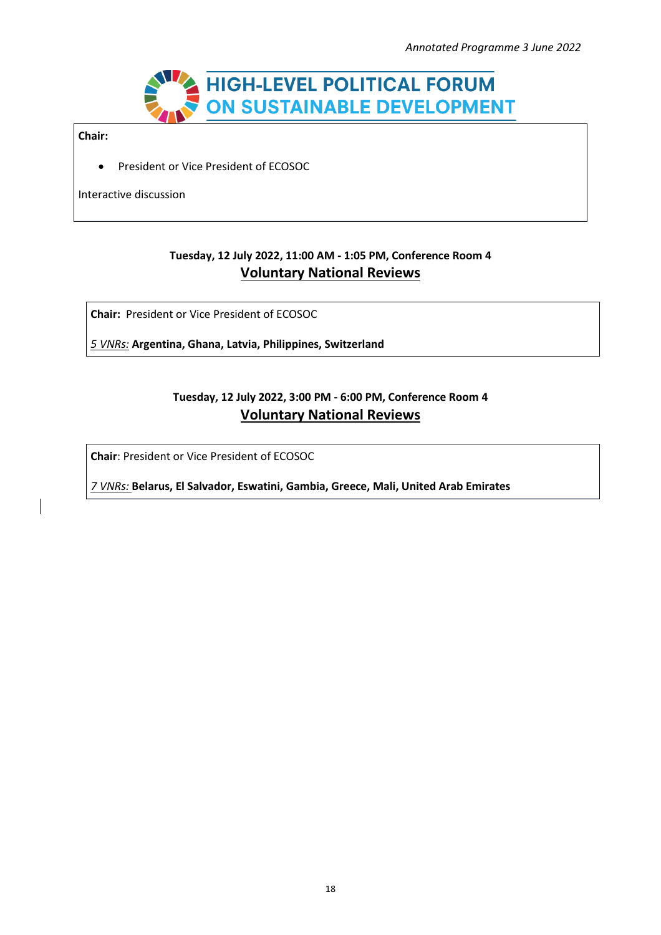

**Chair:**

• President or Vice President of ECOSOC

Interactive discussion

## **Tuesday, 12 July 2022, 11:00 AM - 1:05 PM, Conference Room 4 Voluntary National Reviews**

**Chair:** President or Vice President of ECOSOC

*5 VNRs:* **Argentina, Ghana, Latvia, Philippines, Switzerland**

## **Tuesday, 12 July 2022, 3:00 PM - 6:00 PM, Conference Room 4 Voluntary National Reviews**

**Chair**: President or Vice President of ECOSOC

*7 VNRs:* **Belarus, El Salvador, Eswatini, Gambia, Greece, Mali, United Arab Emirates**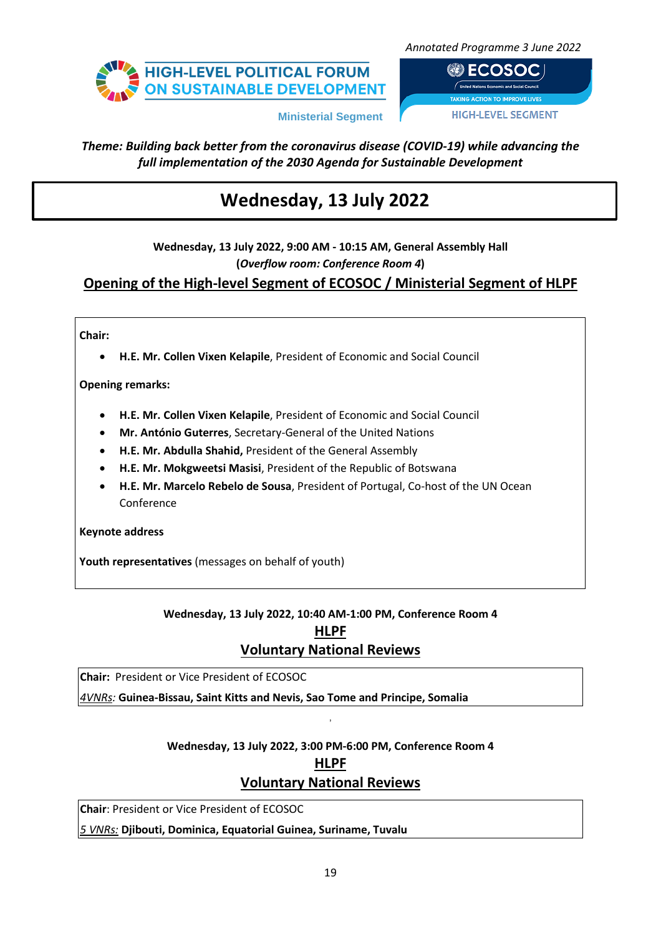

**● ECOSOC HIGH-LEVEL SEGMENT** 

**Ministerial Segment**

## *Theme: Building back better from the coronavirus disease (COVID-19) while advancing the full implementation of the 2030 Agenda for Sustainable Development*

# **Wednesday, 13 July 2022**

**Wednesday, 13 July 2022, 9:00 AM - 10:15 AM, General Assembly Hall (***Overflow room: Conference Room 4***)**

**Opening of the High-level Segment of ECOSOC / Ministerial Segment of HLPF**

### **Chair:**

• **H.E. Mr. Collen Vixen Kelapile**, President of Economic and Social Council

**Opening remarks:**

- **H.E. Mr. Collen Vixen Kelapile**, President of Economic and Social Council
- **Mr. António Guterres**, Secretary-General of the United Nations
- **H.E. Mr. Abdulla Shahid,** President of the General Assembly
- **H.E. Mr. Mokgweetsi Masisi**, President of the Republic of Botswana
- **H.E. Mr. Marcelo Rebelo de Sousa**, President of Portugal, Co-host of the UN Ocean Conference

**Keynote address**

**Youth representatives** (messages on behalf of youth)

## **Wednesday, 13 July 2022, 10:40 AM-1:00 PM, Conference Room 4 HLPF Voluntary National Reviews**

**Chair:** President or Vice President of ECOSOC

*4VNRs:* **Guinea-Bissau, Saint Kitts and Nevis, Sao Tome and Principe, Somalia**

### **Wednesday, 13 July 2022, 3:00 PM-6:00 PM, Conference Room 4**

,

**HLPF**

## **Voluntary National Reviews**

**Chair**: President or Vice President of ECOSOC

*5 VNRs:* **Djibouti, Dominica, Equatorial Guinea, Suriname, Tuvalu**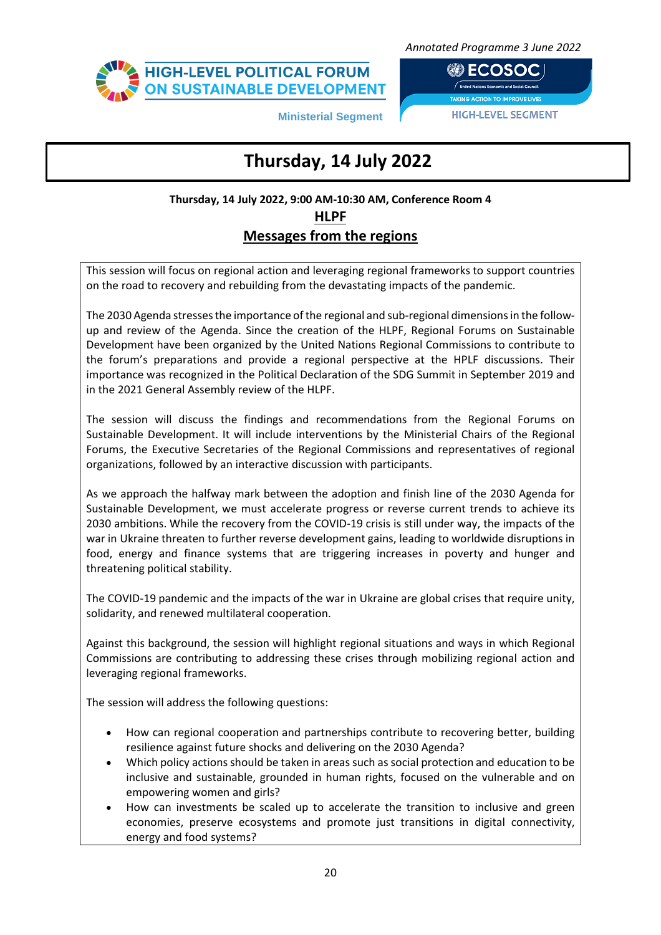

**@DECOSOCI HIGH-LEVEL SEGMENT** 

**Ministerial Segment**

## • General debate **National Voluntary Reviews 9:00-14:00 Thursday, 14 July 2022**

## **Thursday, 14 July 2022, 9:00 AM-10:30 AM, Conference Room 4 HLPF Messages from the regions**

This session will focus on regional action and leveraging regional frameworks to support countries on the road to recovery and rebuilding from the devastating impacts of the pandemic.

The 2030 Agenda stresses the importance of the regional and sub-regional dimensions in the followup and review of the Agenda. Since the creation of the HLPF, Regional Forums on Sustainable Development have been organized by the United Nations Regional Commissions to contribute to the forum's preparations and provide a regional perspective at the HPLF discussions. Their importance was recognized in the Political Declaration of the SDG Summit in September 2019 and in the 2021 General Assembly review of the HLPF.

The session will discuss the findings and recommendations from the Regional Forums on Sustainable Development. It will include interventions by the Ministerial Chairs of the Regional Forums, the Executive Secretaries of the Regional Commissions and representatives of regional organizations, followed by an interactive discussion with participants.

As we approach the halfway mark between the adoption and finish line of the 2030 Agenda for Sustainable Development, we must accelerate progress or reverse current trends to achieve its 2030 ambitions. While the recovery from the COVID-19 crisis is still under way, the impacts of the war in Ukraine threaten to further reverse development gains, leading to worldwide disruptions in food, energy and finance systems that are triggering increases in poverty and hunger and threatening political stability.

The COVID-19 pandemic and the impacts of the war in Ukraine are global crises that require unity, solidarity, and renewed multilateral cooperation.

Against this background, the session will highlight regional situations and ways in which Regional Commissions are contributing to addressing these crises through mobilizing regional action and leveraging regional frameworks.

The session will address the following questions:

- How can regional cooperation and partnerships contribute to recovering better, building resilience against future shocks and delivering on the 2030 Agenda?
- Which policy actionsshould be taken in areas such as social protection and education to be inclusive and sustainable, grounded in human rights, focused on the vulnerable and on empowering women and girls?
- How can investments be scaled up to accelerate the transition to inclusive and green economies, preserve ecosystems and promote just transitions in digital connectivity, energy and food systems?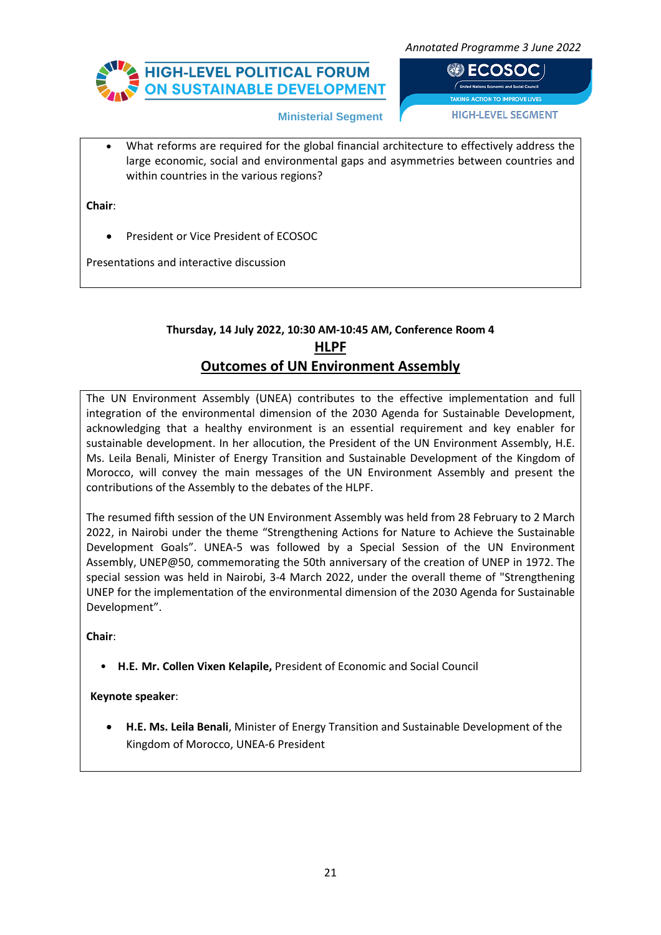

**@DECOSOCI HIGH-LEVEL SEGMENT** 

**Ministerial Segment**

• What reforms are required for the global financial architecture to effectively address the large economic, social and environmental gaps and asymmetries between countries and within countries in the various regions?

**Chair**:

• President or Vice President of ECOSOC

Presentations and interactive discussion

## **Thursday, 14 July 2022, 10:30 AM-10:45 AM, Conference Room 4 HLPF Outcomes of UN Environment Assembly**

The UN Environment Assembly (UNEA) contributes to the effective implementation and full integration of the environmental dimension of the 2030 Agenda for Sustainable Development, acknowledging that a healthy environment is an essential requirement and key enabler for sustainable development. In her allocution, the President of the UN Environment Assembly, H.E. Ms. Leila Benali, Minister of Energy Transition and Sustainable Development of the Kingdom of Morocco, will convey the main messages of the UN Environment Assembly and present the contributions of the Assembly to the debates of the HLPF.

The resumed fifth session of the UN Environment Assembly was held from 28 February to 2 March 2022, in Nairobi under the theme "Strengthening Actions for Nature to Achieve the Sustainable Development Goals". UNEA-5 was followed by a Special Session of the UN Environment Assembly, [UNEP@50,](https://unep.org/unep-50-event) commemorating the 50th anniversary of the creation of UNEP in 1972. The special session was held in Nairobi, 3-4 March 2022, under the overall theme of "Strengthening UNEP for the implementation of the environmental dimension of the 2030 Agenda for Sustainable Development".

**Chair**:

• **H.E. Mr. Collen Vixen Kelapile,** President of Economic and Social Council

**Keynote speaker**:

• **H.E. Ms. Leila Benali**, Minister of Energy Transition and Sustainable Development of the Kingdom of Morocco, UNEA-6 President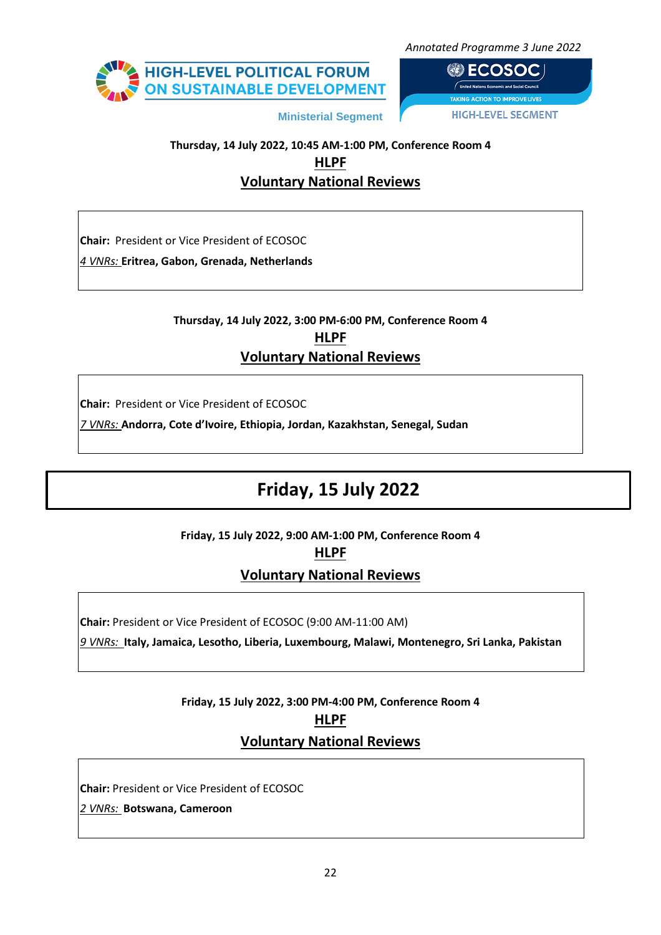

**@ECOSOCI HIGH-LEVEL SEGMENT** 

## **Thursday, 14 July 2022, 10:45 AM-1:00 PM, Conference Room 4 HLPF Voluntary National Reviews**

**Ministerial Segment**

**Chair:** President or Vice President of ECOSOC

*4 VNRs:* **Eritrea, Gabon, Grenada, Netherlands**

## **Thursday, 14 July 2022, 3:00 PM-6:00 PM, Conference Room 4 HLPF Voluntary National Reviews**

**Chair:** President or Vice President of ECOSOC

*7 VNRs:* **Andorra, Cote d'Ivoire, Ethiopia, Jordan, Kazakhstan, Senegal, Sudan**

# **Friday, 15 July 2022**

**Friday, 15 July 2022, 9:00 AM-1:00 PM, Conference Room 4**

**HLPF**

**Voluntary National Reviews**

**Chair:** President or Vice President of ECOSOC (9:00 AM-11:00 AM)

*9 VNRs:* **Italy, Jamaica, Lesotho, Liberia, Luxembourg, Malawi, Montenegro, Sri Lanka, Pakistan**

## **Friday, 15 July 2022, 3:00 PM-4:00 PM, Conference Room 4 HLPF Voluntary National Reviews**

**Chair:** President or Vice President of ECOSOC

*2 VNRs:* **Botswana, Cameroon**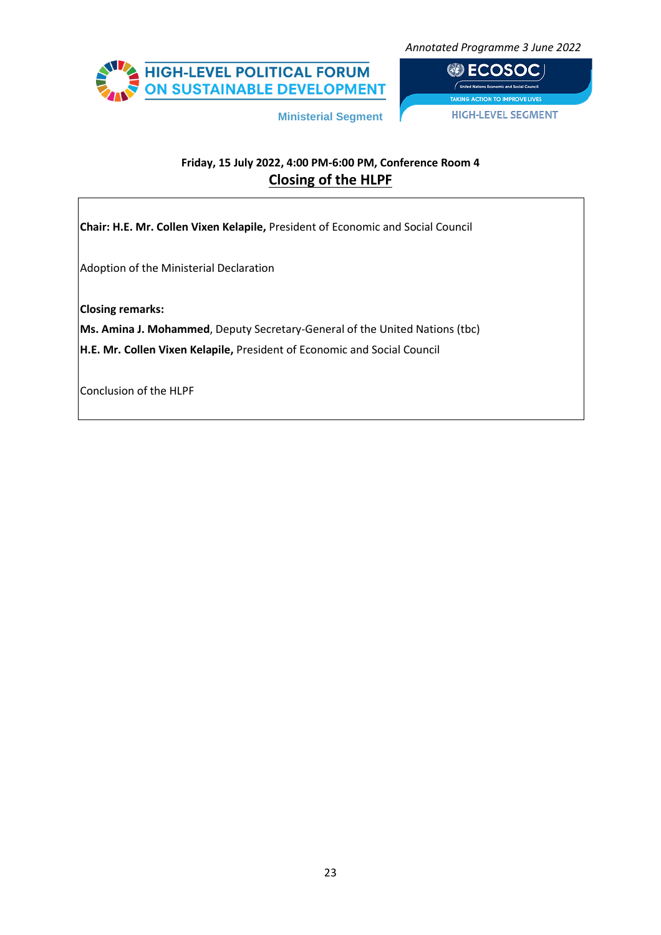HIGH-LEVEL POLITICAL FORUM<br>ON SUSTAINABLE DEVELOPMENT

*Annotated Programme 3 June 2022*

**BECOSOC HIGH-LEVEL SEGMENT** 

## **Friday, 15 July 2022, 4:00 PM-6:00 PM, Conference Room 4 Closing of the HLPF**

**Ministerial Segment**

**Chair: H.E. Mr. Collen Vixen Kelapile,** President of Economic and Social Council Adoption of the Ministerial Declaration **Closing remarks: Ms. Amina J. Mohammed**, Deputy Secretary-General of the United Nations (tbc) **H.E. Mr. Collen Vixen Kelapile,** President of Economic and Social Council Conclusion of the HLPF

23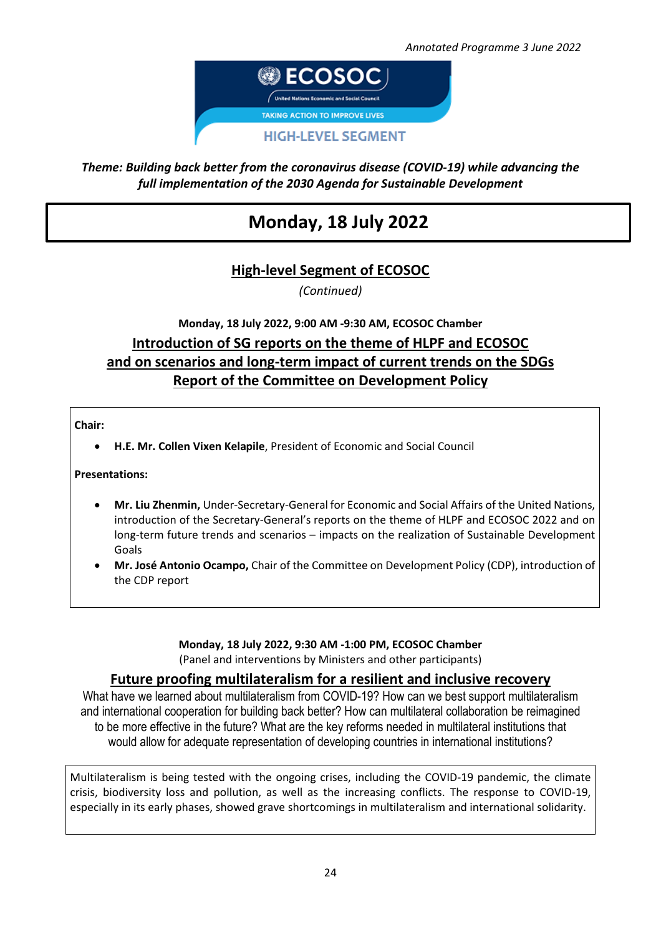

## *Theme: Building back better from the coronavirus disease (COVID-19) while advancing the full implementation of the 2030 Agenda for Sustainable Development*

# **Monday, 18 July 2022**

## **High-level Segment of ECOSOC**

*(Continued)*

## **Monday, 18 July 2022, 9:00 AM -9:30 AM, ECOSOC Chamber Introduction of SG reports on the theme of HLPF and ECOSOC and on scenarios and long-term impact of current trends on the SDGs Report of the Committee on Development Policy**

### **Chair:**

• **H.E. Mr. Collen Vixen Kelapile**, President of Economic and Social Council

### **Presentations:**

- **Mr. Liu Zhenmin,** Under-Secretary-General for Economic and Social Affairs of the United Nations, introduction of the Secretary-General's reports on the theme of HLPF and ECOSOC 2022 and on long-term future trends and scenarios – impacts on the realization of Sustainable Development Goals
- **Mr. José Antonio Ocampo,** Chair of the Committee on Development Policy (CDP), introduction of the CDP report

### **Monday, 18 July 2022, 9:30 AM -1:00 PM, ECOSOC Chamber** (Panel and interventions by Ministers and other participants)

### **Future proofing multilateralism for a resilient and inclusive recovery**

What have we learned about multilateralism from COVID-19? How can we best support multilateralism and international cooperation for building back better? How can multilateral collaboration be reimagined to be more effective in the future? What are the key reforms needed in multilateral institutions that would allow for adequate representation of developing countries in international institutions?

Multilateralism is being tested with the ongoing crises, including the COVID-19 pandemic, the climate crisis, biodiversity loss and pollution, as well as the increasing conflicts. The response to COVID-19, especially in its early phases, showed grave shortcomings in multilateralism and international solidarity.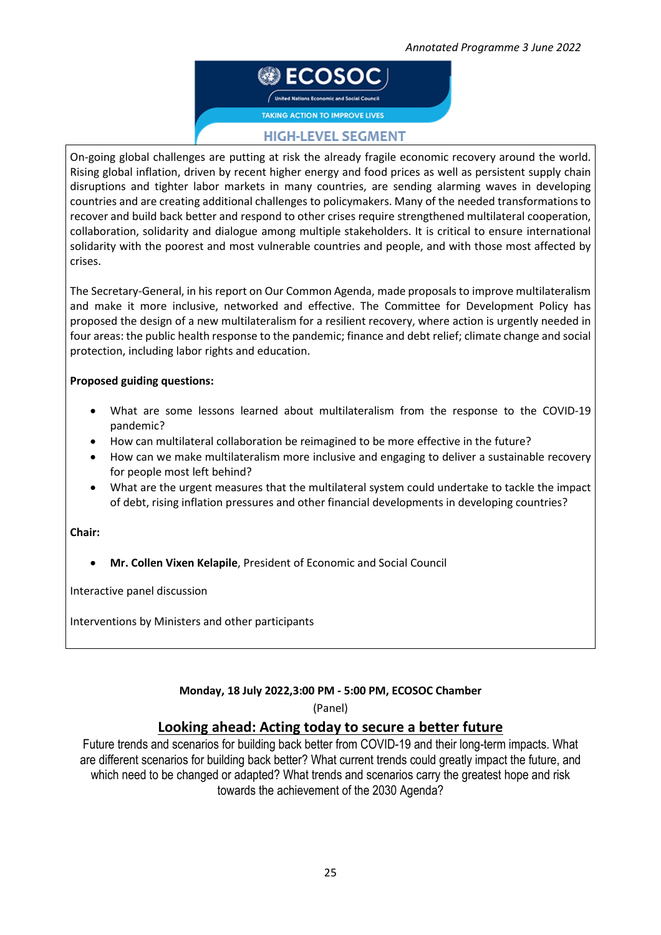@ ECOSO

**TAKING ACTION TO IMPROVE LIVES** 

### **HIGH-LEVEL SEGMENT**

On-going global challenges are putting at risk the already fragile economic recovery around the world. Rising global inflation, driven by recent higher energy and food prices as well as persistent supply chain disruptions and tighter labor markets in many countries, are sending alarming waves in developing countries and are creating additional challenges to policymakers. Many of the needed transformationsto recover and build back better and respond to other crises require strengthened multilateral cooperation, collaboration, solidarity and dialogue among multiple stakeholders. It is critical to ensure international solidarity with the poorest and most vulnerable countries and people, and with those most affected by crises.

The Secretary-General, in his report on Our Common Agenda, made proposalsto improve multilateralism and make it more inclusive, networked and effective. The Committee for Development Policy has proposed the design of a new multilateralism for a resilient recovery, where action is urgently needed in four areas: the public health response to the pandemic; finance and debt relief; climate change and social protection, including labor rights and education.

### **Proposed guiding questions:**

- What are some lessons learned about multilateralism from the response to the COVID-19 pandemic?
- How can multilateral collaboration be reimagined to be more effective in the future?
- How can we make multilateralism more inclusive and engaging to deliver a sustainable recovery for people most left behind?
- What are the urgent measures that the multilateral system could undertake to tackle the impact of debt, rising inflation pressures and other financial developments in developing countries?

### **Chair:**

• **Mr. Collen Vixen Kelapile**, President of Economic and Social Council

Interactive panel discussion

Interventions by Ministers and other participants

### **Monday, 18 July 2022,3:00 PM - 5:00 PM, ECOSOC Chamber**

(Panel)

### **Looking ahead: Acting today to secure a better future**

Future trends and scenarios for building back better from COVID-19 and their long-term impacts. What are different scenarios for building back better? What current trends could greatly impact the future, and which need to be changed or adapted? What trends and scenarios carry the greatest hope and risk towards the achievement of the 2030 Agenda?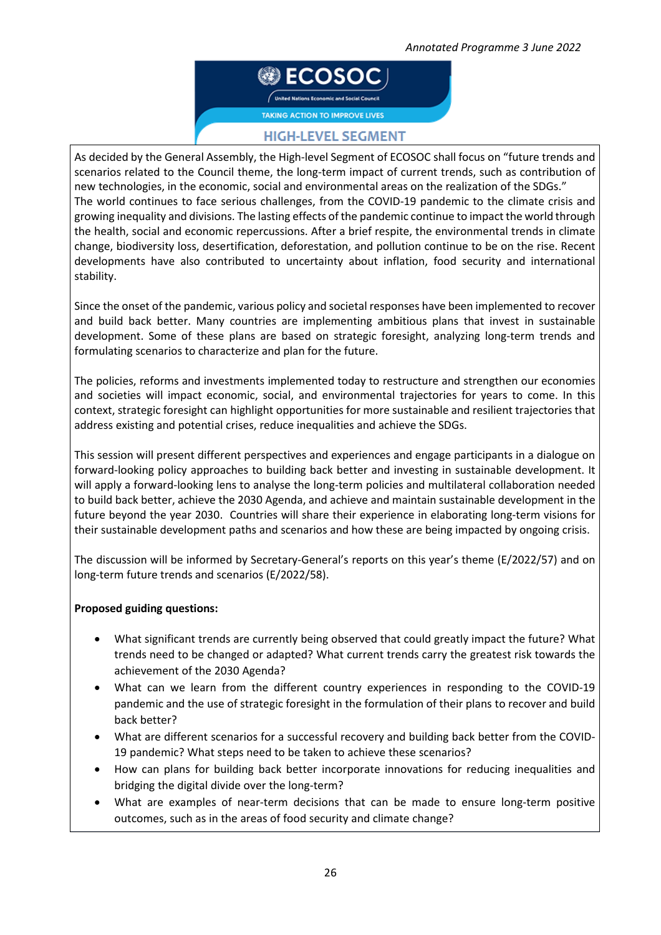

### **HIGH-LEVEL SEGMENT**

As decided by the General Assembly, the High-level Segment of ECOSOC shall focus on "future trends and scenarios related to the Council theme, the long-term impact of current trends, such as contribution of new technologies, in the economic, social and environmental areas on the realization of the SDGs." The world continues to face serious challenges, from the COVID-19 pandemic to the climate crisis and growing inequality and divisions. The lasting effects of the pandemic continue to impact the world through the health, social and economic repercussions. After a brief respite, the environmental trends in climate change, biodiversity loss, desertification, deforestation, and pollution continue to be on the rise. Recent developments have also contributed to uncertainty about inflation, food security and international stability.

Since the onset of the pandemic, various policy and societal responses have been implemented to recover and build back better. Many countries are implementing ambitious plans that invest in sustainable development. Some of these plans are based on strategic foresight, analyzing long-term trends and formulating scenarios to characterize and plan for the future.

The policies, reforms and investments implemented today to restructure and strengthen our economies and societies will impact economic, social, and environmental trajectories for years to come. In this context, strategic foresight can highlight opportunities for more sustainable and resilient trajectories that address existing and potential crises, reduce inequalities and achieve the SDGs.

This session will present different perspectives and experiences and engage participants in a dialogue on forward-looking policy approaches to building back better and investing in sustainable development. It will apply a forward-looking lens to analyse the long-term policies and multilateral collaboration needed to build back better, achieve the 2030 Agenda, and achieve and maintain sustainable development in the future beyond the year 2030. Countries will share their experience in elaborating long-term visions for their sustainable development paths and scenarios and how these are being impacted by ongoing crisis.

The discussion will be informed by Secretary-General's reports on this year's theme (E/2022/57) and on long-term future trends and scenarios (E/2022/58).

### **Proposed guiding questions:**

- What significant trends are currently being observed that could greatly impact the future? What trends need to be changed or adapted? What current trends carry the greatest risk towards the achievement of the 2030 Agenda?
- What can we learn from the different country experiences in responding to the COVID-19 pandemic and the use of strategic foresight in the formulation of their plans to recover and build back better?
- What are different scenarios for a successful recovery and building back better from the COVID-19 pandemic? What steps need to be taken to achieve these scenarios?
- How can plans for building back better incorporate innovations for reducing inequalities and bridging the digital divide over the long-term?
- What are examples of near-term decisions that can be made to ensure long-term positive outcomes, such as in the areas of food security and climate change?